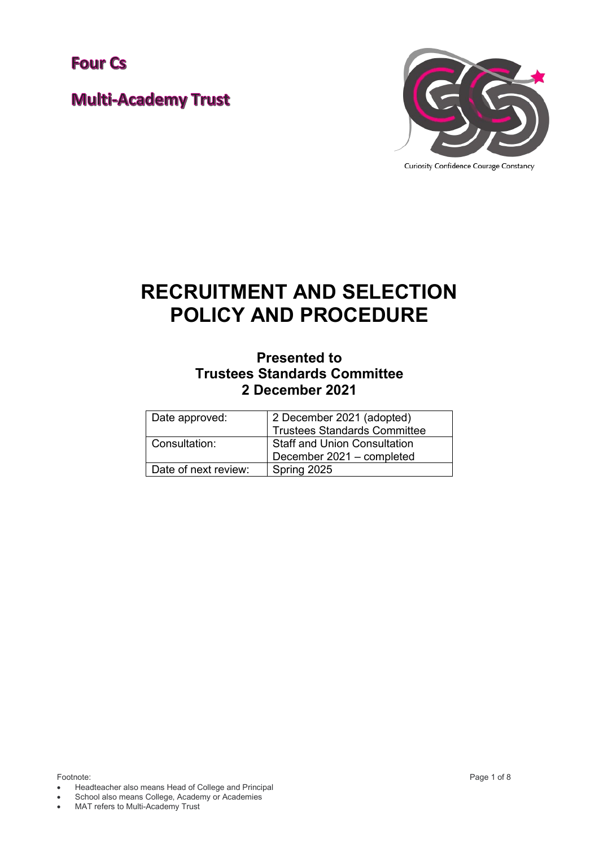**Four Cs** 

**Multi-Academy Trust** 



# **RECRUITMENT AND SELECTION POLICY AND PROCEDURE**

## **Presented to Trustees Standards Committee 2 December 2021**

| Date approved:       | 2 December 2021 (adopted)<br><b>Trustees Standards Committee</b> |
|----------------------|------------------------------------------------------------------|
| Consultation:        | <b>Staff and Union Consultation</b><br>December 2021 - completed |
| Date of next review: | Spring 2025                                                      |

- Headteacher also means Head of College and Principal
- School also means College, Academy or Academies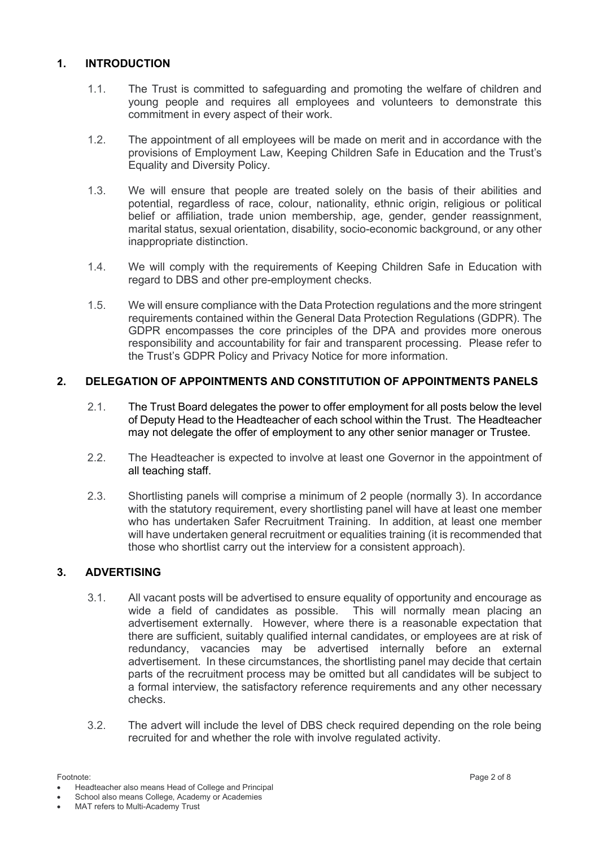#### **1. INTRODUCTION**

- 1.1. The Trust is committed to safeguarding and promoting the welfare of children and young people and requires all employees and volunteers to demonstrate this commitment in every aspect of their work.
- 1.2. The appointment of all employees will be made on merit and in accordance with the provisions of Employment Law, Keeping Children Safe in Education and the Trust's Equality and Diversity Policy.
- 1.3. We will ensure that people are treated solely on the basis of their abilities and potential, regardless of race, colour, nationality, ethnic origin, religious or political belief or affiliation, trade union membership, age, gender, gender reassignment, marital status, sexual orientation, disability, socio-economic background, or any other inappropriate distinction.
- 1.4. We will comply with the requirements of Keeping Children Safe in Education with regard to DBS and other pre-employment checks.
- 1.5. We will ensure compliance with the Data Protection regulations and the more stringent requirements contained within the General Data Protection Regulations (GDPR). The GDPR encompasses the core principles of the DPA and provides more onerous responsibility and accountability for fair and transparent processing. Please refer to the Trust's GDPR Policy and Privacy Notice for more information.

### **2. DELEGATION OF APPOINTMENTS AND CONSTITUTION OF APPOINTMENTS PANELS**

- 2.1. The Trust Board delegates the power to offer employment for all posts below the level of Deputy Head to the Headteacher of each school within the Trust. The Headteacher may not delegate the offer of employment to any other senior manager or Trustee.
- 2.2. The Headteacher is expected to involve at least one Governor in the appointment of all teaching staff.
- 2.3. Shortlisting panels will comprise a minimum of 2 people (normally 3). In accordance with the statutory requirement, every shortlisting panel will have at least one member who has undertaken Safer Recruitment Training. In addition, at least one member will have undertaken general recruitment or equalities training (it is recommended that those who shortlist carry out the interview for a consistent approach).

#### **3. ADVERTISING**

- 3.1. All vacant posts will be advertised to ensure equality of opportunity and encourage as wide a field of candidates as possible. This will normally mean placing an advertisement externally. However, where there is a reasonable expectation that there are sufficient, suitably qualified internal candidates, or employees are at risk of redundancy, vacancies may be advertised internally before an external advertisement. In these circumstances, the shortlisting panel may decide that certain parts of the recruitment process may be omitted but all candidates will be subject to a formal interview, the satisfactory reference requirements and any other necessary checks.
- 3.2. The advert will include the level of DBS check required depending on the role being recruited for and whether the role with involve regulated activity.

<sup>•</sup> Headteacher also means Head of College and Principal

<sup>•</sup> MAT refers to Multi-Academy Trust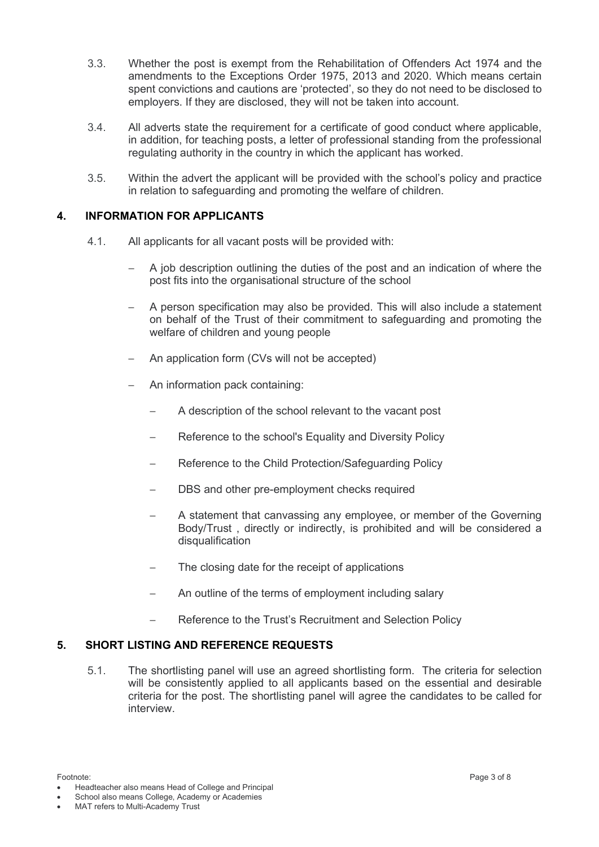- 3.3. Whether the post is exempt from the Rehabilitation of Offenders Act 1974 and the amendments to the Exceptions Order 1975, 2013 and 2020. Which means certain spent convictions and cautions are 'protected', so they do not need to be disclosed to employers. If they are disclosed, they will not be taken into account.
- 3.4. All adverts state the requirement for a certificate of good conduct where applicable, in addition, for teaching posts, a letter of professional standing from the professional regulating authority in the country in which the applicant has worked.
- 3.5. Within the advert the applicant will be provided with the school's policy and practice in relation to safeguarding and promoting the welfare of children.

### **4. INFORMATION FOR APPLICANTS**

- 4.1. All applicants for all vacant posts will be provided with:
	- − A job description outlining the duties of the post and an indication of where the post fits into the organisational structure of the school
	- A person specification may also be provided. This will also include a statement on behalf of the Trust of their commitment to safeguarding and promoting the welfare of children and young people
	- An application form (CVs will not be accepted)
	- − An information pack containing:
		- A description of the school relevant to the vacant post
		- Reference to the school's Equality and Diversity Policy
		- − Reference to the Child Protection/Safeguarding Policy
		- DBS and other pre-employment checks required
		- − A statement that canvassing any employee, or member of the Governing Body/Trust , directly or indirectly, is prohibited and will be considered a disqualification
		- The closing date for the receipt of applications
		- An outline of the terms of employment including salary
		- Reference to the Trust's Recruitment and Selection Policy

#### **5. SHORT LISTING AND REFERENCE REQUESTS**

5.1. The shortlisting panel will use an agreed shortlisting form. The criteria for selection will be consistently applied to all applicants based on the essential and desirable criteria for the post. The shortlisting panel will agree the candidates to be called for interview.

• Headteacher also means Head of College and Principal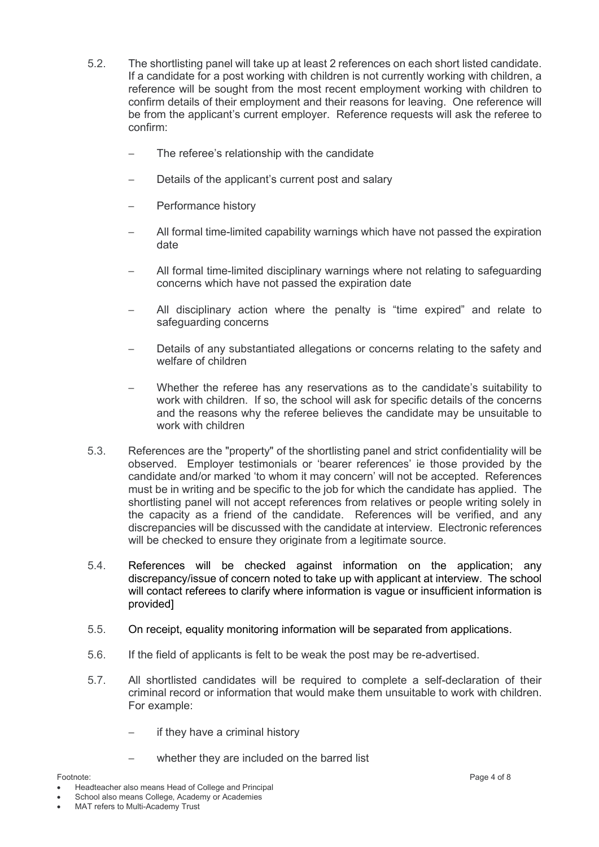- 5.2. The shortlisting panel will take up at least 2 references on each short listed candidate. If a candidate for a post working with children is not currently working with children, a reference will be sought from the most recent employment working with children to confirm details of their employment and their reasons for leaving. One reference will be from the applicant's current employer. Reference requests will ask the referee to confirm:
	- The referee's relationship with the candidate
	- Details of the applicant's current post and salary
	- − Performance history
	- − All formal time-limited capability warnings which have not passed the expiration date
	- − All formal time-limited disciplinary warnings where not relating to safeguarding concerns which have not passed the expiration date
	- All disciplinary action where the penalty is "time expired" and relate to safeguarding concerns
	- Details of any substantiated allegations or concerns relating to the safety and welfare of children
	- Whether the referee has any reservations as to the candidate's suitability to work with children. If so, the school will ask for specific details of the concerns and the reasons why the referee believes the candidate may be unsuitable to work with children
- 5.3. References are the "property" of the shortlisting panel and strict confidentiality will be observed. Employer testimonials or 'bearer references' ie those provided by the candidate and/or marked 'to whom it may concern' will not be accepted. References must be in writing and be specific to the job for which the candidate has applied. The shortlisting panel will not accept references from relatives or people writing solely in the capacity as a friend of the candidate. References will be verified, and any discrepancies will be discussed with the candidate at interview. Electronic references will be checked to ensure they originate from a legitimate source.
- 5.4. References will be checked against information on the application; any discrepancy/issue of concern noted to take up with applicant at interview. The school will contact referees to clarify where information is vague or insufficient information is provided]
- 5.5. On receipt, equality monitoring information will be separated from applications.
- 5.6. If the field of applicants is felt to be weak the post may be re-advertised.
- 5.7. All shortlisted candidates will be required to complete a self-declaration of their criminal record or information that would make them unsuitable to work with children. For example:
	- − if they have a criminal history
	- whether they are included on the barred list

<sup>•</sup> Headteacher also means Head of College and Principal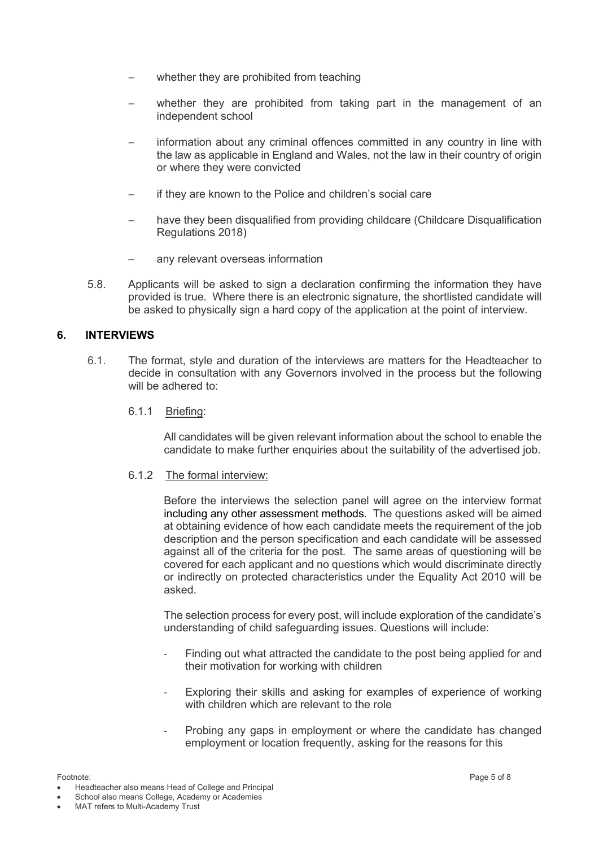- whether they are prohibited from teaching
- whether they are prohibited from taking part in the management of an independent school
- information about any criminal offences committed in any country in line with the law as applicable in England and Wales, not the law in their country of origin or where they were convicted
- if they are known to the Police and children's social care
- have they been disqualified from providing childcare (Childcare Disqualification Regulations 2018)
- any relevant overseas information
- 5.8. Applicants will be asked to sign a declaration confirming the information they have provided is true. Where there is an electronic signature, the shortlisted candidate will be asked to physically sign a hard copy of the application at the point of interview.

#### **6. INTERVIEWS**

- 6.1. The format, style and duration of the interviews are matters for the Headteacher to decide in consultation with any Governors involved in the process but the following will be adhered to:
	- 6.1.1 Briefing:

All candidates will be given relevant information about the school to enable the candidate to make further enquiries about the suitability of the advertised job.

6.1.2 The formal interview:

Before the interviews the selection panel will agree on the interview format including any other assessment methods. The questions asked will be aimed at obtaining evidence of how each candidate meets the requirement of the job description and the person specification and each candidate will be assessed against all of the criteria for the post. The same areas of questioning will be covered for each applicant and no questions which would discriminate directly or indirectly on protected characteristics under the Equality Act 2010 will be asked.

The selection process for every post, will include exploration of the candidate's understanding of child safeguarding issues. Questions will include:

- Finding out what attracted the candidate to the post being applied for and their motivation for working with children
- Exploring their skills and asking for examples of experience of working with children which are relevant to the role
- Probing any gaps in employment or where the candidate has changed employment or location frequently, asking for the reasons for this

• Headteacher also means Head of College and Principal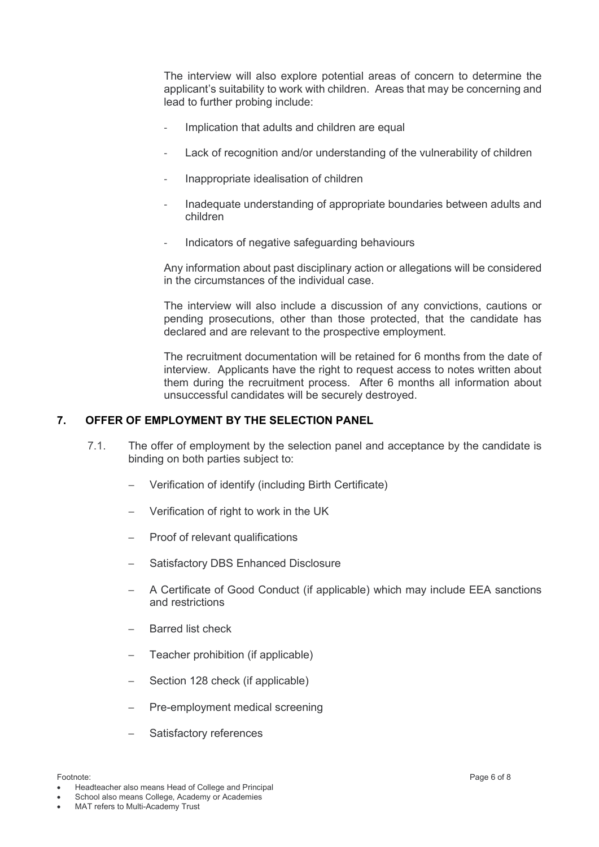The interview will also explore potential areas of concern to determine the applicant's suitability to work with children. Areas that may be concerning and lead to further probing include:

- Implication that adults and children are equal
- Lack of recognition and/or understanding of the vulnerability of children
- ‐ Inappropriate idealisation of children
- ‐ Inadequate understanding of appropriate boundaries between adults and children
- Indicators of negative safeguarding behaviours

Any information about past disciplinary action or allegations will be considered in the circumstances of the individual case.

The interview will also include a discussion of any convictions, cautions or pending prosecutions, other than those protected, that the candidate has declared and are relevant to the prospective employment.

The recruitment documentation will be retained for 6 months from the date of interview. Applicants have the right to request access to notes written about them during the recruitment process. After 6 months all information about unsuccessful candidates will be securely destroyed.

#### **7. OFFER OF EMPLOYMENT BY THE SELECTION PANEL**

- 7.1. The offer of employment by the selection panel and acceptance by the candidate is binding on both parties subject to:
	- − Verification of identify (including Birth Certificate)
	- − Verification of right to work in the UK
	- Proof of relevant qualifications
	- − Satisfactory DBS Enhanced Disclosure
	- − A Certificate of Good Conduct (if applicable) which may include EEA sanctions and restrictions
	- − Barred list check
	- Teacher prohibition (if applicable)
	- Section 128 check (if applicable)
	- Pre-employment medical screening
	- Satisfactory references

• Headteacher also means Head of College and Principal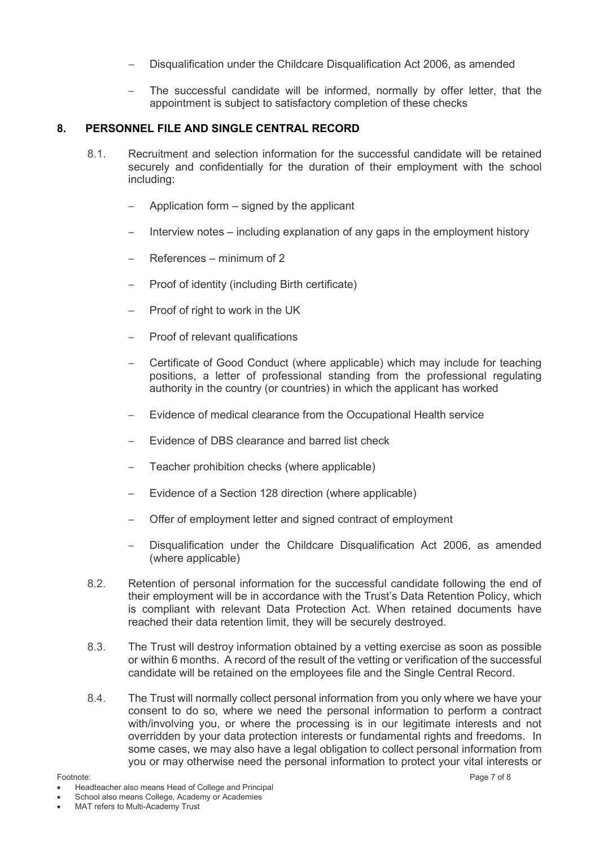- Disqualification under the Childcare Disqualification Act 2006, as amended
- The successful candidate will be informed, normally by offer letter, that the appointment is subject to satisfactory completion of these checks

#### **8. PERSONNEL FILE AND SINGLE CENTRAL RECORD**

- 8.1. Recruitment and selection information for the successful candidate will be retained securely and confidentially for the duration of their employment with the school including:
	- − Application form signed by the applicant
	- Interview notes including explanation of any gaps in the employment history
	- − References minimum of 2
	- − Proof of identity (including Birth certificate)
	- Proof of right to work in the UK
	- Proof of relevant qualifications
	- − Certificate of Good Conduct (where applicable) which may include for teaching positions, a letter of professional standing from the professional regulating authority in the country (or countries) in which the applicant has worked
	- Evidence of medical clearance from the Occupational Health service
	- Evidence of DBS clearance and barred list check
	- Teacher prohibition checks (where applicable)
	- Evidence of a Section 128 direction (where applicable)
	- Offer of employment letter and signed contract of employment
	- − Disqualification under the Childcare Disqualification Act 2006, as amended (where applicable)
- 8.2. Retention of personal information for the successful candidate following the end of their employment will be in accordance with the Trust's Data Retention Policy, which is compliant with relevant Data Protection Act. When retained documents have reached their data retention limit, they will be securely destroyed.
- 8.3. The Trust will destroy information obtained by a vetting exercise as soon as possible or within 6 months. A record of the result of the vetting or verification of the successful candidate will be retained on the employees file and the Single Central Record.
- 8.4. The Trust will normally collect personal information from you only where we have your consent to do so, where we need the personal information to perform a contract with/involving you, or where the processing is in our legitimate interests and not overridden by your data protection interests or fundamental rights and freedoms. In some cases, we may also have a legal obligation to collect personal information from you or may otherwise need the personal information to protect your vital interests or

<sup>•</sup> Headteacher also means Head of College and Principal